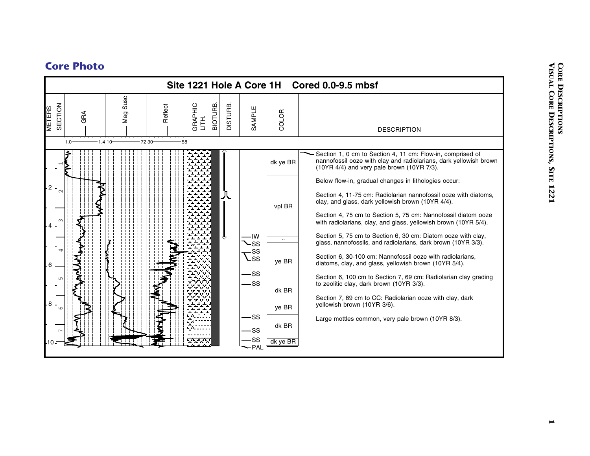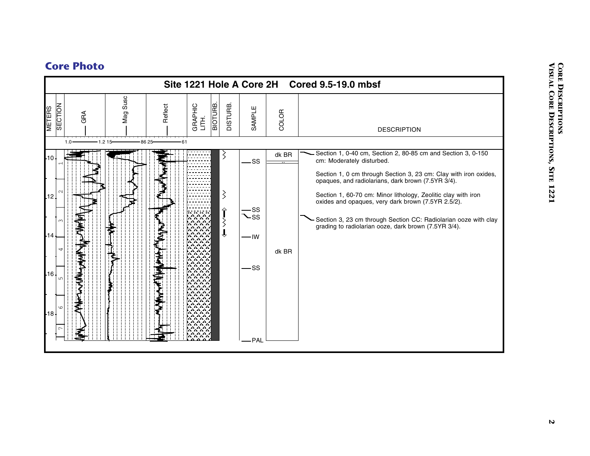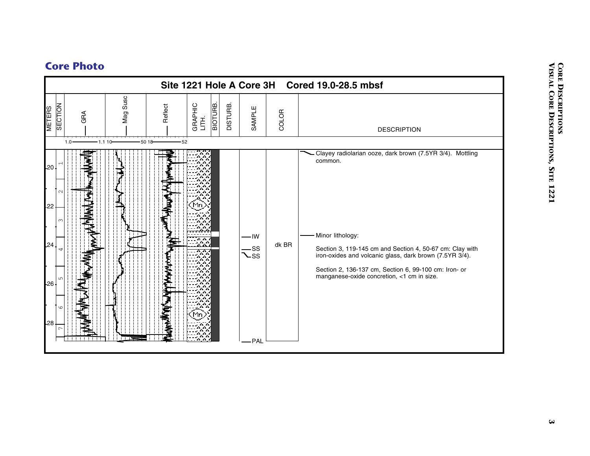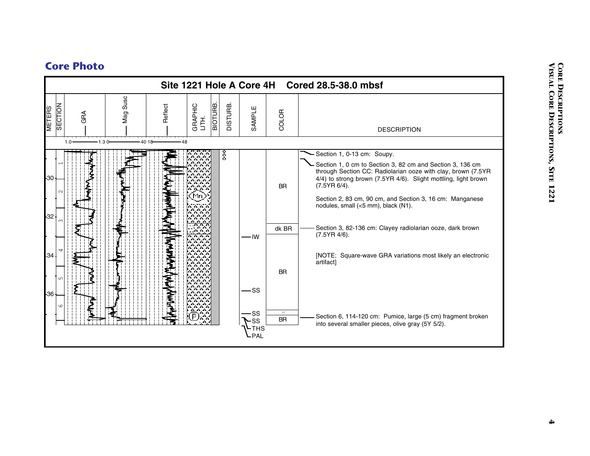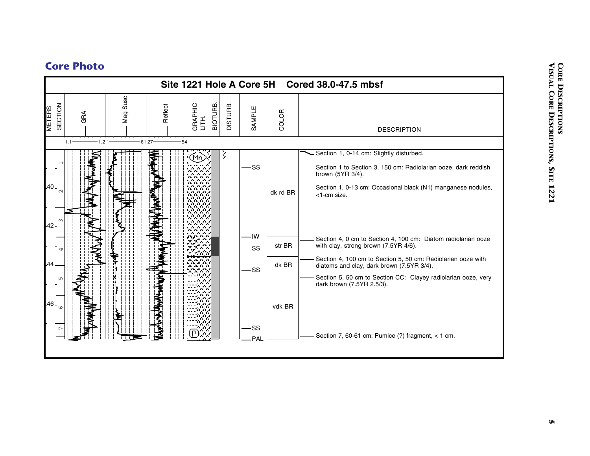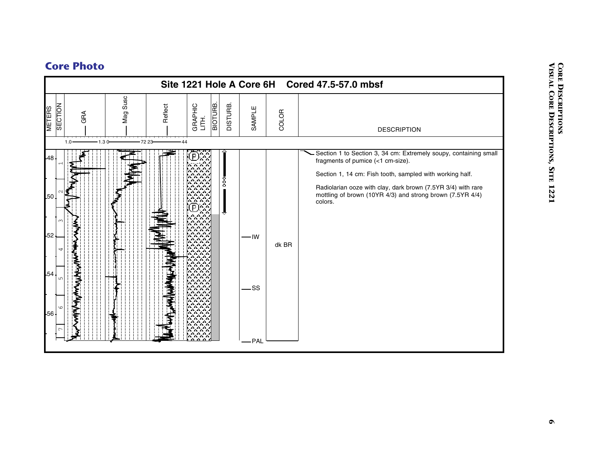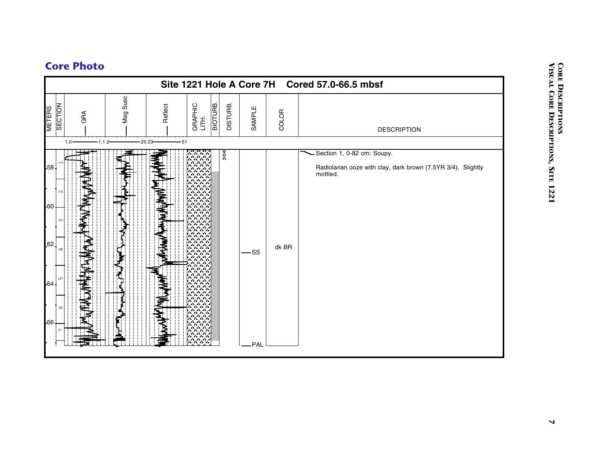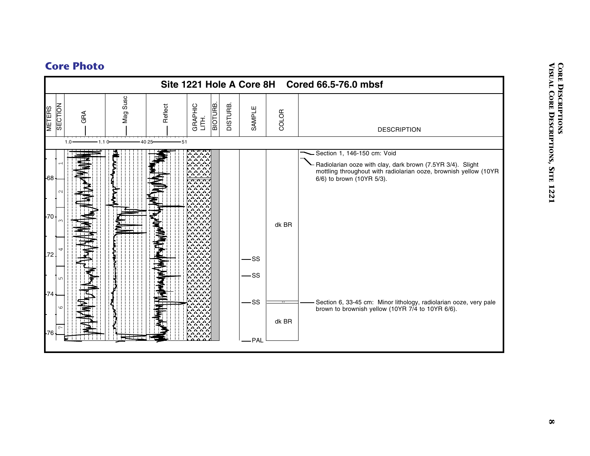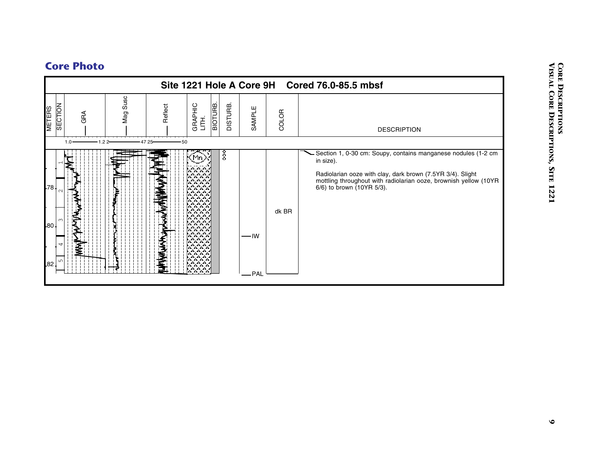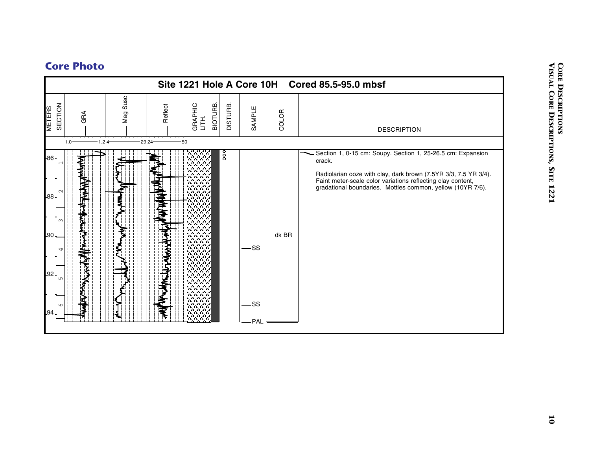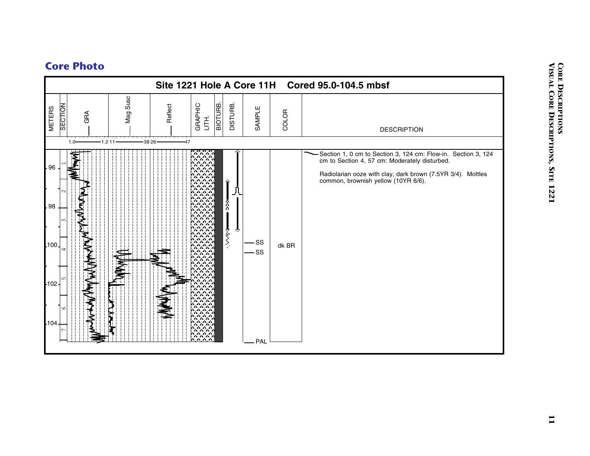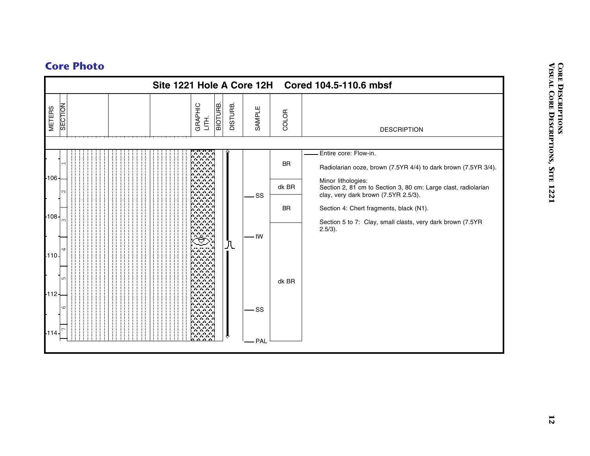|                          | Site 1221 Hole A Core 12H |                                                                                                                                                                                                                                                                   |                |              |           | Cored 104.5-110.6 mbsf                                                                                                       |
|--------------------------|---------------------------|-------------------------------------------------------------------------------------------------------------------------------------------------------------------------------------------------------------------------------------------------------------------|----------------|--------------|-----------|------------------------------------------------------------------------------------------------------------------------------|
| SECTION<br><b>METERS</b> |                           | <b>BIOTURE.</b><br>GRAPHIC<br>LITH.                                                                                                                                                                                                                               | <b>DISTURB</b> | SAMPLE       | COLOR     | <b>DESCRIPTION</b>                                                                                                           |
| $-106$                   |                           | ana a                                                                                                                                                                                                                                                             |                |              | <b>BR</b> | Entire core: Flow-in.<br>Radiolarian ooze, brown (7.5YR 4/4) to dark brown (7.5YR 3/4).                                      |
|                          |                           | an an an a<br><b>ALCOHOL:</b><br>.<br>A A A A                                                                                                                                                                                                                     |                | .SS          | dk BR     | Minor lithologies:<br>Section 2, 81 cm to Section 3, 80 cm: Large clast, radiolarian<br>clay, very dark brown (7.5YR 2.5/3). |
| 108 -                    |                           | .<br>n.<br>.<br>and the site.<br>and a factor of the                                                                                                                                                                                                              |                |              | <b>BR</b> | Section 4: Chert fragments, black (N1).<br>Section 5 to 7: Clay, small clasts, very dark brown (7.5YR                        |
| $110 -$<br>$-112-$       |                           | .<br><b>Contract Contract</b><br>and and and<br><b>Contract Contract</b><br>المتحال والمتحال<br>a a a a<br>.<br>.<br>.<br><b>COL</b><br>.<br><b>Service State</b><br>1.1.1.1<br>and and and<br>a a a a<br>an an an<br><b>SALE AND</b><br><b>Contract Contract</b> | 八              | - IW<br>- SS | dk BR     | $2.5/3$ ).                                                                                                                   |
| -114                     |                           | <b>Service</b> A<br>and a factor of the con-<br>.<br>an an an                                                                                                                                                                                                     |                | <b>PAL</b>   |           |                                                                                                                              |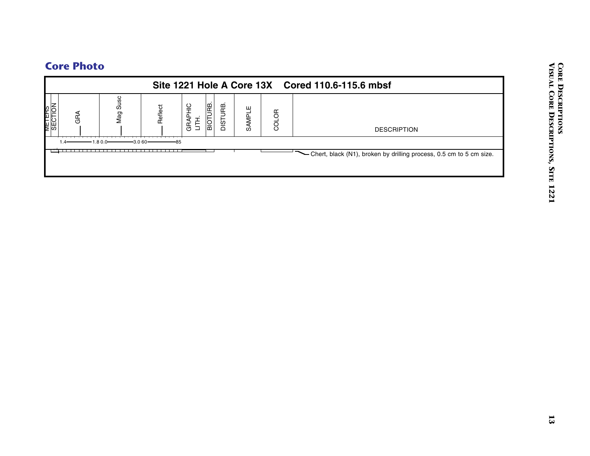|                          |                     |                                     |          |                 | Site 1221 Hole A Core 13X Cored 110.6-115.6 mbsf                      |
|--------------------------|---------------------|-------------------------------------|----------|-----------------|-----------------------------------------------------------------------|
| METERS<br>SECTION<br>GRA | Mag Susc<br>Reflect | <b>BIOTURB.</b><br>GRAPHIC<br>LITH. | DISTURB. | SAMPLE<br>COLOR | <b>DESCRIPTION</b>                                                    |
| $-1.80.0-$<br>$1.4 -$    | $-3.060-$           | -85                                 |          |                 | - Chert, black (N1), broken by drilling process, 0.5 cm to 5 cm size. |
|                          |                     |                                     |          |                 |                                                                       |
|                          |                     |                                     |          |                 |                                                                       |
|                          |                     |                                     |          |                 |                                                                       |
|                          |                     |                                     |          |                 |                                                                       |
|                          |                     |                                     |          |                 |                                                                       |
|                          |                     |                                     |          |                 |                                                                       |
|                          |                     |                                     |          |                 |                                                                       |
|                          |                     |                                     |          |                 |                                                                       |
|                          |                     |                                     |          |                 |                                                                       |
|                          |                     |                                     |          |                 |                                                                       |
|                          |                     |                                     |          |                 |                                                                       |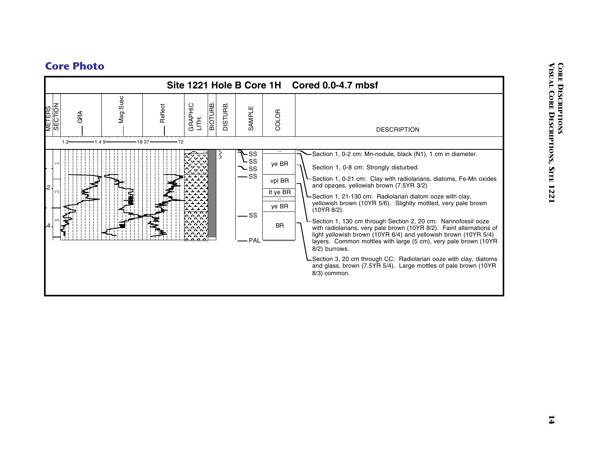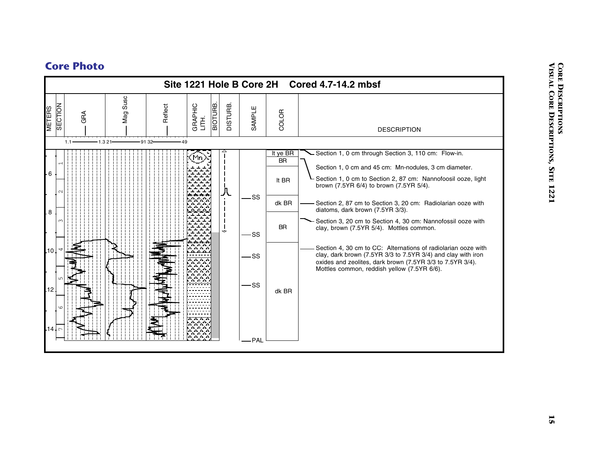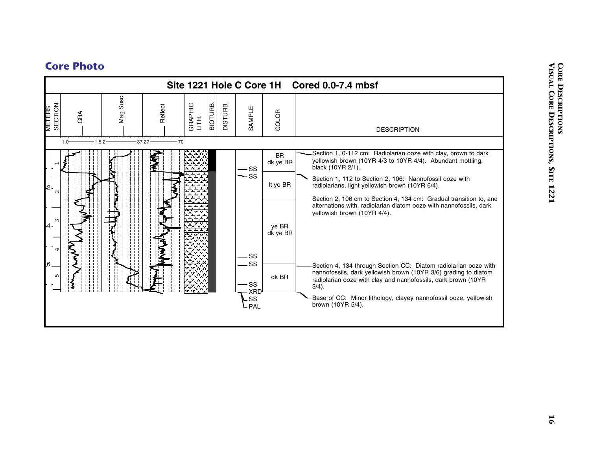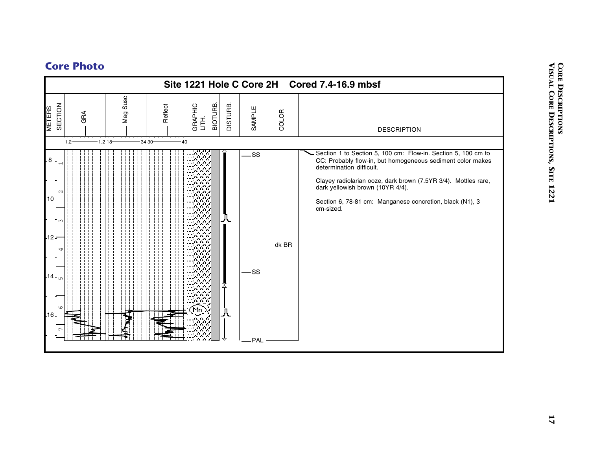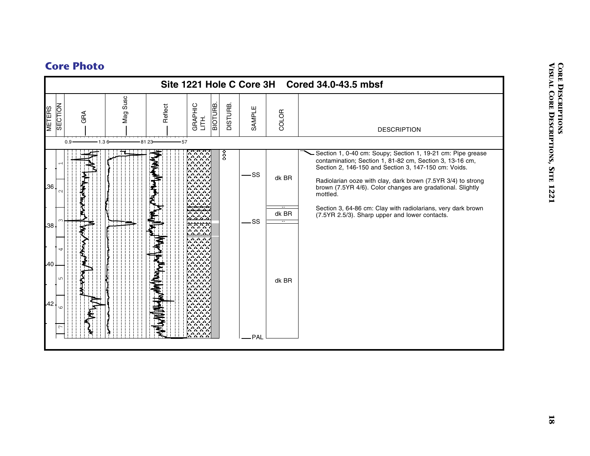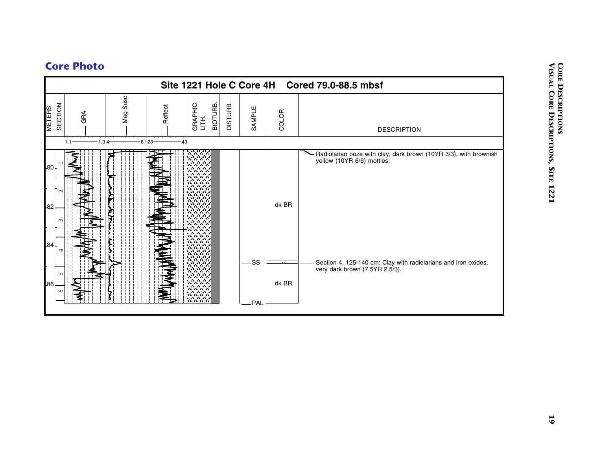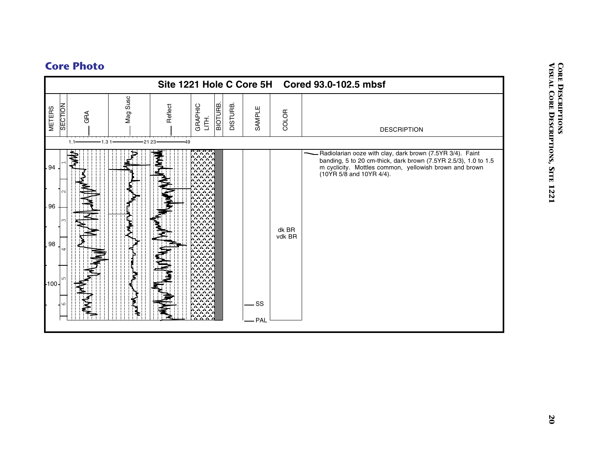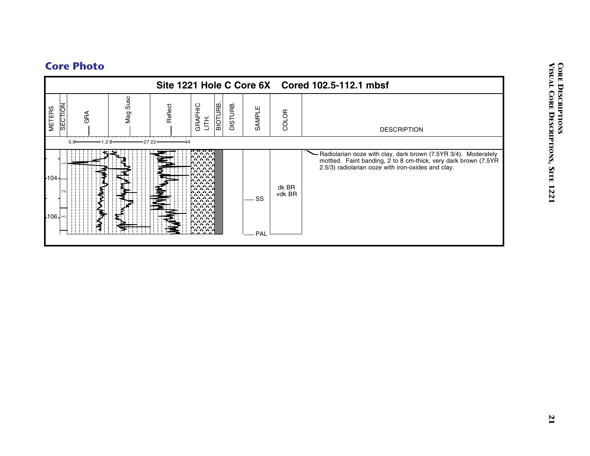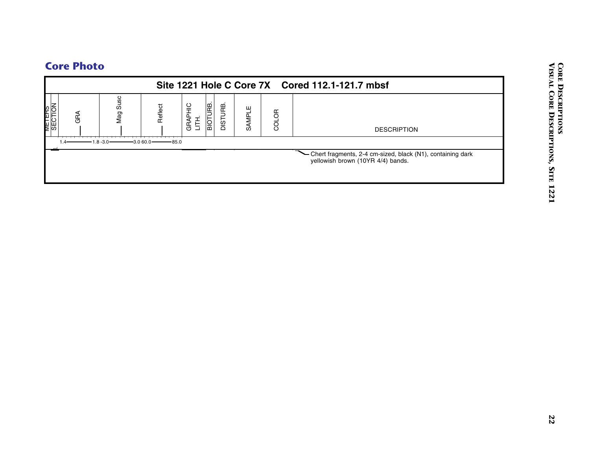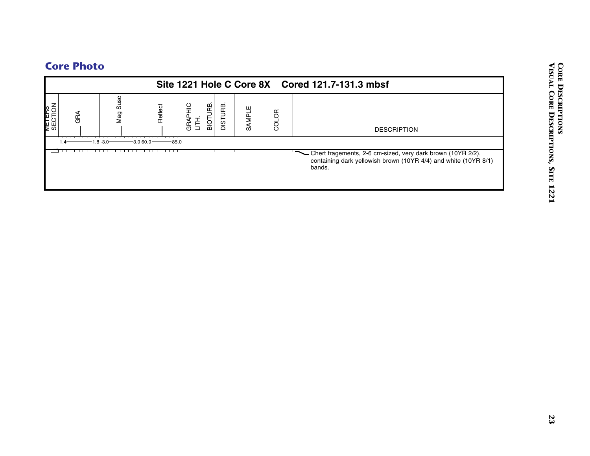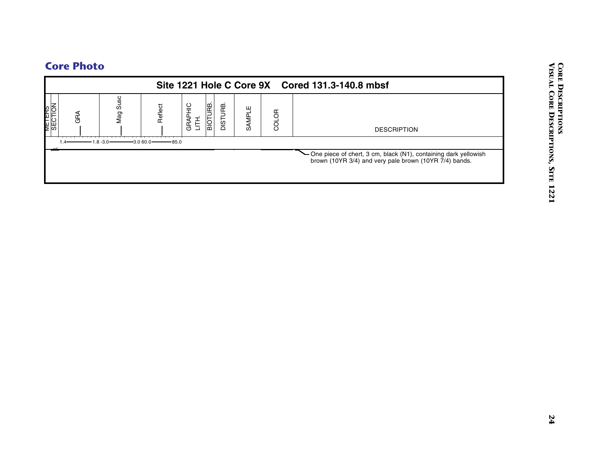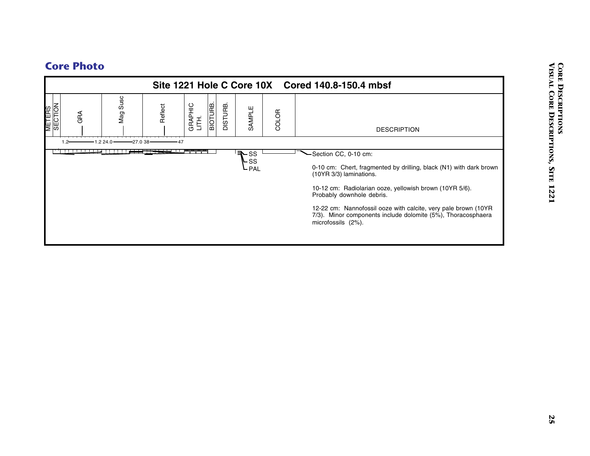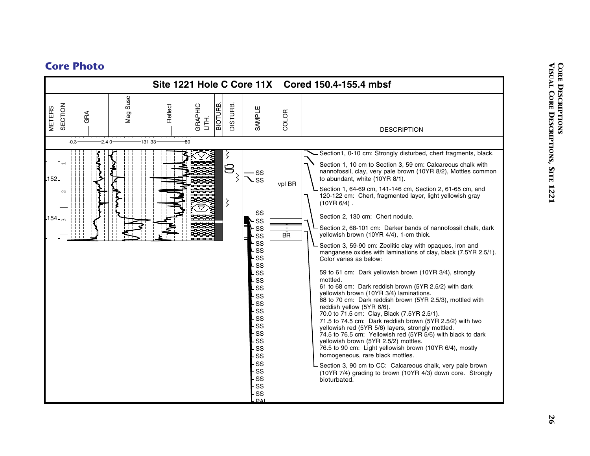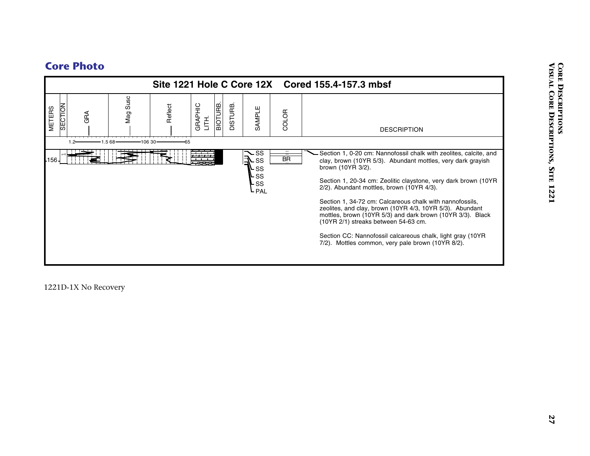

1221D-1X No Recovery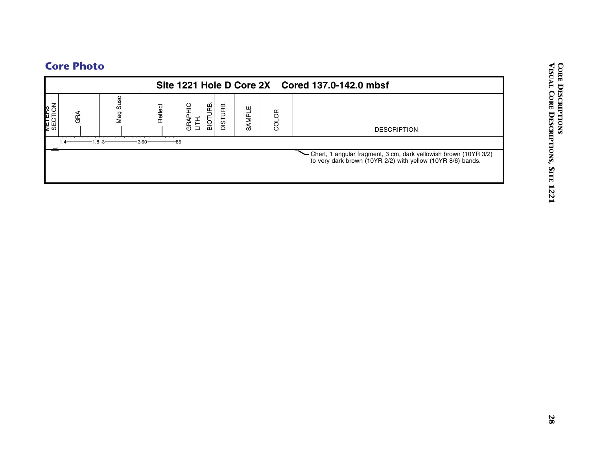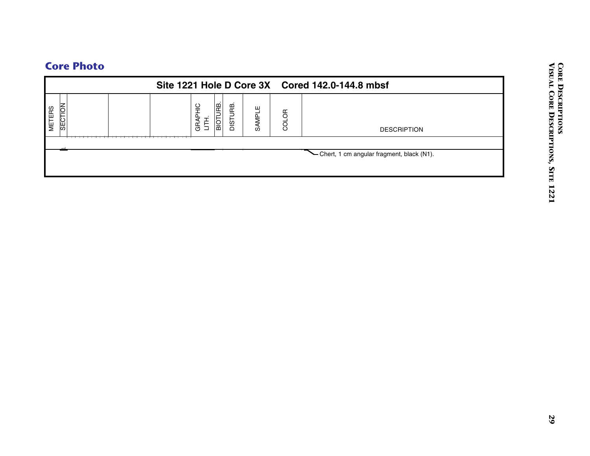|                          |                                     |          |        |       | Site 1221 Hole D Core 3X Cored 142.0-144.8 mbsf |  |
|--------------------------|-------------------------------------|----------|--------|-------|-------------------------------------------------|--|
| SECTION<br><b>METERS</b> | <b>BIOTURB.</b><br>GRAPHIC<br>LITH. | DISTURB. | SAMPLE | COLOR | <b>DESCRIPTION</b>                              |  |
|                          |                                     |          |        |       | - Chert, 1 cm angular fragment, black (N1).     |  |
|                          |                                     |          |        |       |                                                 |  |
|                          |                                     |          |        |       |                                                 |  |
|                          |                                     |          |        |       |                                                 |  |
|                          |                                     |          |        |       |                                                 |  |
|                          |                                     |          |        |       |                                                 |  |
|                          |                                     |          |        |       |                                                 |  |
|                          |                                     |          |        |       |                                                 |  |
|                          |                                     |          |        |       |                                                 |  |
|                          |                                     |          |        |       |                                                 |  |
|                          |                                     |          |        |       |                                                 |  |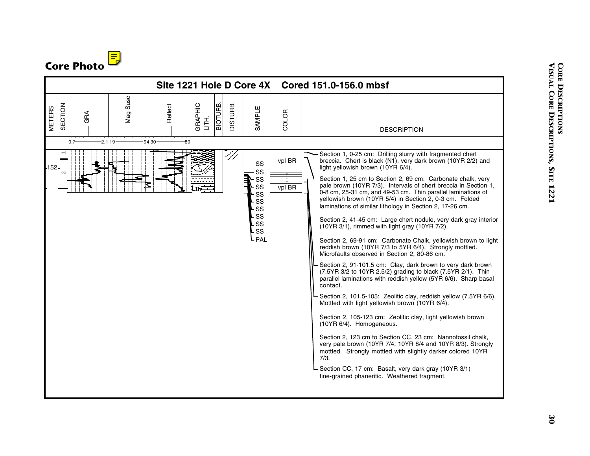

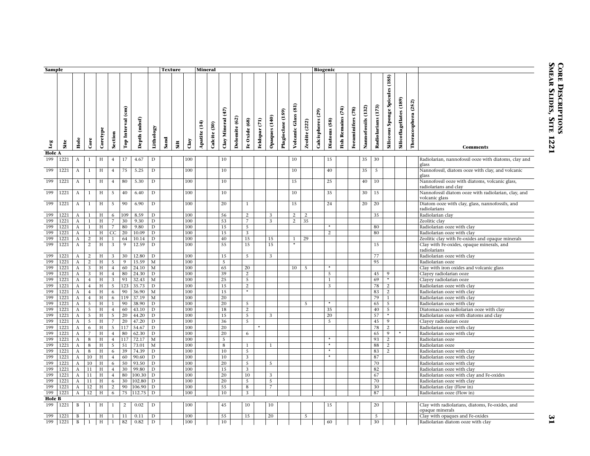| Sample               |                             |                              |                     |          |                                  |                   |                 |                  |      | <b>Texture</b> |            | <b>Mineral</b> |              |                                   |               |                      |               |                |                      |                                |                      |                      | <b>Biogenic</b> |                          |                   |                       |                    |                                 |                                |                        |                                                                         |
|----------------------|-----------------------------|------------------------------|---------------------|----------|----------------------------------|-------------------|-----------------|------------------|------|----------------|------------|----------------|--------------|-----------------------------------|---------------|----------------------|---------------|----------------|----------------------|--------------------------------|----------------------|----------------------|-----------------|--------------------------|-------------------|-----------------------|--------------------|---------------------------------|--------------------------------|------------------------|-------------------------------------------------------------------------|
|                      |                             |                              |                     |          |                                  |                   |                 |                  |      |                |            |                |              |                                   |               |                      |               |                |                      |                                |                      |                      |                 |                          |                   |                       |                    |                                 |                                |                        |                                                                         |
| Leg                  | Site                        | Hole                         | Core                | Coretype | Section                          | Top Interval (cm) | (mbsf)<br>Depth | Lithology        | Sand | Silt           | Clay       | Apatite (14)   | Calcite (30) | $\left(47\right)$<br>Clay Mineral | Dolomite (62) | Fe Oxide (68)        | Feldspar (71) | Opaques (140)  | (159)<br>Plagioclase | $\mathbf{5}$<br>Volcanic Glass | <b>Zeolite (222)</b> | (29)<br>Calcispheres | Diatoms (58)    | <b>Fish Remains (74)</b> | Foraminifers (78) | (132)<br>Nannofossils | Radiolarians (173) | Siliceous Sponge Spicules (185) | <b>Silicoflagellates (189)</b> | (252)<br>Theracosphera | Comments                                                                |
| <b>Hole A</b><br>199 | 1221                        | A                            | $\mathbf{1}$        | H        | $\overline{4}$                   | 17                | 4.67            | $\mathbf D$      |      |                | 100        |                |              | 10                                |               |                      |               |                |                      | 10                             |                      |                      | 15              |                          |                   | 35                    | 30                 |                                 |                                |                        | Radiolarian, nannofossil ooze with diatoms, clay and                    |
| 199                  | 1221                        | A                            | 1                   | H        | $\overline{4}$                   | 75                | 5.25            | D                |      |                | 100        |                |              | 10                                |               |                      |               |                |                      | 10                             |                      |                      | 40              |                          |                   | 35                    | 5                  |                                 |                                |                        | glass<br>Nannofossil, diatom ooze with clay, and volcanic               |
|                      |                             |                              |                     |          |                                  |                   |                 |                  |      |                |            |                |              |                                   |               |                      |               |                |                      |                                |                      |                      |                 |                          |                   |                       |                    |                                 |                                |                        | glass                                                                   |
| 199                  | 1221                        | A                            | 1                   | H        | $\overline{4}$                   | 80                | 5.30            | D                |      |                | 100        |                |              | 10                                |               |                      |               |                |                      | 15                             |                      |                      | 25              |                          |                   | 40                    | 10                 |                                 |                                |                        | Nannofossil ooze with diatoms, volcanic glass,<br>radiolarians and clay |
| 199                  | 1221                        | A                            | $\mathbf{1}$        | H        | 5                                | 40                | 6.40            | $\mathbf D$      |      |                | 100        |                |              | 10                                |               |                      |               |                |                      | 10                             |                      |                      | 35              |                          |                   | 30                    | 15                 |                                 |                                |                        | Nannofossil diatom ooze with radiolarian, clay, and<br>volcanic glass   |
| 199                  | 1221                        | $\mathbf{A}$                 | $\mathbf{1}$        | H        | 5                                | 90                | 6.90            | D                |      |                | 100        |                |              | 20                                |               | $\mathbf{1}$         |               |                |                      | 15                             |                      |                      | 24              |                          |                   | 20                    | 20                 |                                 |                                |                        | Diatom ooze with clay, glass, nannofossils, and<br>radiolarians         |
| 199                  | 1221                        | A                            | $\mathbf{1}$        | H        | 6                                | 109               | 8.59            | D                |      |                | 100        |                |              | 56                                |               | 2                    |               | 3              |                      | $\overline{c}$                 | 2                    |                      |                 |                          |                   |                       | 35                 |                                 |                                |                        | Radiolarian clay                                                        |
| 199                  | 1221                        | $\mathbf{A}$                 | $\mathbf{1}$        | H        | $\overline{7}$                   | 30                | 9.30            | D                |      |                | 100        |                |              | 53                                |               | $\overline{7}$       |               | 3              |                      | $\mathbf{2}$                   | 35                   |                      |                 |                          |                   |                       |                    |                                 |                                |                        | Zeolitic clay                                                           |
| 199                  | 1221                        | $\mathbf{A}$                 | $\mathbf{1}$        | H        | $7\overline{ }$                  | 80                | 9.80            | $\mathbf D$      |      |                | 100        |                |              | 15                                |               | 5                    |               |                |                      |                                |                      |                      | $\star$         |                          |                   |                       | 80                 |                                 |                                |                        | Radiolarian ooze with clay                                              |
| 199                  | 1221                        | $\mathbf{A}$                 | $\mathbf{1}$        | H        | CC                               | 20                | 10.09           | $\mathbf D$      |      |                | 100        |                |              | 15                                |               | 3                    |               |                |                      |                                |                      |                      | $\overline{2}$  |                          |                   |                       | 80                 |                                 |                                |                        | Radiolarian ooze with clay                                              |
| 199                  | 1221                        | $\mathbf{A}$                 | 2                   | H        | $\mathbf{1}$                     | 64                | 10.14           | D                |      |                | 100        |                |              | 40                                |               | 15                   |               | 15             |                      | 1<br>$\star$                   | 29                   |                      |                 |                          |                   |                       |                    |                                 |                                |                        | Zeolitic clay with Fe-oxides and opaque minerals                        |
| 199                  | 1221                        | $\mathbf{A}$                 | 2                   | H        | 3                                | 9                 | 12.59           | D                |      |                | 100        |                |              | 55                                |               | 15                   |               | 15             |                      |                                |                      |                      |                 |                          |                   |                       | 15                 |                                 |                                |                        | Clay with Fe-oxides, opaque minerals, and<br>radiolarians               |
| 199                  | 1221                        | $\mathbf{A}$                 | $\overline{c}$      | H        | 3                                | 30                | 12.80           | D                |      |                | 100        |                |              | 15                                |               | $5\overline{)}$      |               | 3              |                      |                                |                      |                      |                 |                          |                   |                       | 77                 |                                 |                                |                        | Radiolarian ooze with clay                                              |
| 199<br>199           | 1221                        | $\mathbf{A}$                 | $\overline{2}$      | H        | 5                                | 9<br>60           | 15.59           | M                |      |                | 100        |                |              | 5                                 |               |                      |               |                |                      |                                |                      |                      | $\star$         |                          |                   |                       | 95                 |                                 |                                |                        | Radiolarian ooze                                                        |
| 199                  | 1221<br>1221                | $\mathbf{A}$<br>$\mathbf{A}$ | 3<br>$\overline{3}$ | H<br>H   | $\overline{4}$<br>$\overline{4}$ | 80                | 24.10<br>24.30  | M<br>D           |      |                | 100<br>100 |                |              | 65<br>39                          |               | 20<br>$\overline{2}$ |               |                |                      | 10                             | - 5                  |                      | $\overline{5}$  |                          |                   |                       | 45                 | $\overline{9}$                  |                                |                        | Clay with iron oxides and volcanic glass<br>Clayey radiolarian ooze     |
| 199                  | 1221                        | A                            | $\overline{4}$      | H        | 3                                | 93                | 32.43           | M                |      |                | 100        |                |              | 25                                |               | 5                    |               |                |                      |                                |                      |                      | -1              |                          |                   |                       | 69                 | $\star$                         |                                |                        | Clayey radiolarian ooze                                                 |
| 199                  | 1221                        | $\mathbf{A}$                 | $\overline{4}$      | H        | 5                                | 123               | 35.73           | $\mathbf D$      |      |                | 100        |                |              | 15                                |               | 2                    |               |                |                      |                                |                      |                      | 3               |                          |                   |                       | 78                 | 2                               |                                |                        | Radiolarian ooze with clay                                              |
| 199                  | 1221                        | A                            | $\overline{4}$      | H        | 6                                | 90                | 36.90           | M                |      |                | 100        |                |              | 15                                |               | $\star$              |               |                |                      |                                |                      |                      |                 |                          |                   |                       | 83                 | $\overline{2}$                  |                                |                        | Radiolarian ooze with clay                                              |
| 199                  | 1221                        | $\mathbf{A}$                 | $\overline{4}$      | H        | 6                                | 119               | 37.19           | M                |      |                | 100        |                |              | 20                                |               |                      |               |                |                      |                                |                      |                      |                 |                          |                   |                       | 79                 | $\mathbf{1}$                    |                                |                        | Radiolarian ooze with clay                                              |
| 199                  | 1221                        | $\mathbf{A}$                 | 5                   | H        | $\mathbf{1}$                     | 90                | 38.90           | D                |      |                | 100        |                |              | 20                                |               | 5                    |               |                |                      |                                | 5                    |                      |                 |                          |                   |                       | 65                 | 5                               |                                |                        | Radiolarian ooze with clay                                              |
| 199                  | 1221                        | $\mathbf{A}$                 | 5                   | H        | $\overline{4}$                   | 60                | 43.10           | D                |      |                | 100        |                |              | 18                                |               | 2                    |               |                |                      |                                |                      |                      | 35              |                          |                   |                       | 40                 | $\overline{5}$                  |                                |                        | Diatomaceous radiolarian ooze with clay                                 |
| 199                  | 1221                        | $\mathbf{A}$                 | $\overline{5}$      | H        | $\overline{5}$                   | 20                | 44.20           | D                |      |                | 100        |                |              | 15                                |               | 5                    |               | 3              |                      |                                |                      |                      | 20              |                          |                   |                       | 57                 | $\star$                         |                                |                        | Radiolarian ooze with diatoms and clay                                  |
| 199                  | 1221                        | $\mathbf{A}$                 | $5\overline{)}$     | H        | $\overline{7}$                   | 20                | 47.20           | D                |      |                | 100        |                |              | 36                                |               | 5                    |               |                |                      |                                |                      |                      | 5               |                          |                   |                       | 45                 | 9                               |                                |                        | Clayey radiolarian ooze                                                 |
| 199                  | 1221                        | $\mathbf{A}$                 | 6                   | H        | 5                                | 117               | 54.67           | D                |      |                | 100        |                |              | 20                                |               |                      | $\star$       |                |                      |                                |                      |                      |                 |                          |                   |                       | 78                 | 2                               |                                |                        | Radiolarian ooze with clay                                              |
| 199<br>199           | 1221                        | A                            | $\overline{7}$<br>8 | H        | $\overline{4}$                   | 80<br>117         | 62.30<br>72.17  | D                |      |                | 100<br>100 |                |              | 20<br>5                           |               | 6                    |               |                |                      |                                |                      |                      |                 |                          |                   |                       | 65<br>93           | -9<br>$\overline{2}$            | $\star$                        |                        | Radiolarian ooze with clay                                              |
| 199                  | 1221<br>1221                | $\bf{A}$<br>$\mathbf{A}$     | 8                   | H<br>H   | $\overline{4}$<br>$\overline{5}$ | 51                | 73.01           | $\mathbf M$<br>M |      |                | 100        |                |              | 8                                 |               | 1                    |               | $\mathbf{1}$   |                      |                                |                      |                      |                 |                          |                   |                       | 88                 | 2                               |                                |                        | Radiolarian ooze<br>Radiolarian ooze                                    |
| 199                  | 1221                        | A                            | 8                   | H        | 6                                | 39                | 74.39           | D                |      |                | 100        |                |              | 10                                |               | 5                    |               |                |                      |                                |                      |                      | $\star$         |                          |                   |                       | 83                 | $\overline{2}$                  |                                |                        | Radiolarian ooze with clay                                              |
| 199                  | 1221                        | A                            | 10                  | H        | $\overline{4}$                   | 60                | 90.60           | D                |      |                | 100        |                |              | 10                                |               | 3                    |               |                |                      |                                |                      |                      |                 |                          |                   |                       | 87                 |                                 |                                |                        | Radiolarian ooze with clay                                              |
| 199                  | 1221                        | $\bf{A}$                     | 10                  | H        | 6                                | 50                | 93.50           | $\mathbf D$      |      |                | 100        |                |              | 20                                |               | 5                    |               | 5              |                      |                                |                      |                      |                 |                          |                   |                       | 70                 |                                 |                                |                        | Radiolarian ooze with clay                                              |
| 199                  | 1221                        | $\mathbf{A}$                 | 11                  | H        | $\overline{4}$                   | 30                | 99.80           | D                |      |                | 100        |                |              | 15                                |               | 3                    |               |                |                      |                                |                      |                      |                 |                          |                   |                       | 82                 |                                 |                                |                        | Radiolarian ooze with clay                                              |
| 199                  | 1221                        | $\mathbf{A}$                 | 11                  | H        | $\overline{4}$                   | 80                | 100.30          | D                |      |                | 100        |                |              | 20                                |               | 10                   |               | 3              |                      |                                |                      |                      |                 |                          |                   |                       | 67                 |                                 |                                |                        | Radiolarian ooze with clay and Fe-oxides                                |
| 199                  | 1221                        | $\mathbf{A}$                 | 11                  | H        | 6                                | 30                | 102.80          | D                |      |                | 100        |                |              | 20                                |               | 5                    |               | 5              |                      |                                |                      |                      |                 |                          |                   |                       | 70                 |                                 |                                |                        | Radiolarian ooze with clay                                              |
| 199                  | 1221                        | $\mathbf{A}$                 | 12                  | H        | $\overline{c}$                   | 90                | 106.90          | D                |      |                | 100        |                |              | 55                                |               | 8                    |               | $\overline{7}$ |                      |                                |                      |                      |                 |                          |                   |                       | 30                 |                                 |                                |                        | Radiolarian clay (Flow in)                                              |
| 199                  | 1221                        | A                            | $12-12$             | H        | 6                                | 75                | 112.75          | $\mathbf D$      |      |                | 100        |                |              | 10                                |               | 3                    |               |                |                      |                                |                      |                      |                 |                          |                   |                       | 87                 |                                 |                                |                        | Radiolarian ooze (Flow in)                                              |
| <b>Hole B</b>        |                             |                              |                     |          |                                  |                   |                 |                  |      |                |            |                |              |                                   |               |                      |               |                |                      |                                |                      |                      |                 |                          |                   |                       |                    |                                 |                                |                        |                                                                         |
| 199                  | 1221                        | B                            | 1                   | Н        | 1                                | $\overline{2}$    | 0.02            | $\mathbf D$      |      |                | 100        |                |              | 45                                |               | 10                   |               | 10             |                      |                                |                      |                      | 15              |                          |                   |                       | 20                 |                                 |                                |                        | Clay with radiolarians, diatoms, Fe-oxides, and<br>opaque minerals      |
| 199                  | 1221                        | B                            | $\mathbf{1}$        | H        | 1                                | 11                | 0.11            | D                |      |                | 100        |                |              | 55                                |               | 15                   |               | 20             |                      |                                | 5                    |                      |                 |                          |                   |                       | 5                  |                                 |                                |                        | Clay with opaques and Fe-oxides                                         |
|                      | $\overline{199}$   1221   B |                              |                     | $1$ H    | $\mathbf{1}$                     | 82                | 0.82            | $\mathbf D$      |      |                | 100        |                |              | 10                                |               |                      |               |                |                      |                                |                      |                      | 60              |                          |                   |                       | 30                 |                                 |                                |                        | Radiolarian diatom ooze with clay                                       |

**31**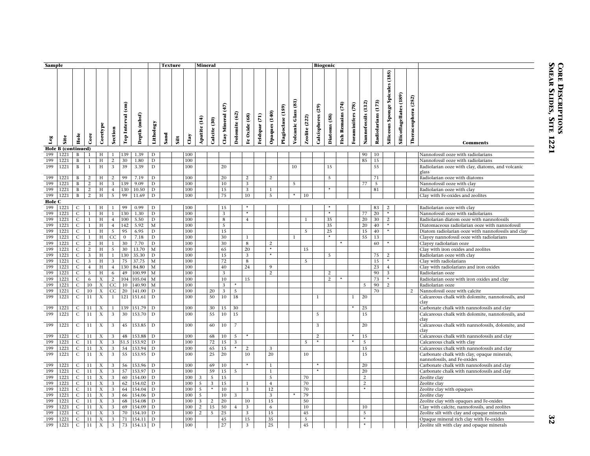| Sample        |                    |                |                |                           |                |                                |                 |              | <b>Texture</b> |            |      | <b>Mineral</b> |              |                                           |                         |                |                         |                          |                      |                                     |                      |                      | <b>Biogenic</b> |                                    |                   |                       |                       |                                       |                         |                        |                                                                            |
|---------------|--------------------|----------------|----------------|---------------------------|----------------|--------------------------------|-----------------|--------------|----------------|------------|------|----------------|--------------|-------------------------------------------|-------------------------|----------------|-------------------------|--------------------------|----------------------|-------------------------------------|----------------------|----------------------|-----------------|------------------------------------|-------------------|-----------------------|-----------------------|---------------------------------------|-------------------------|------------------------|----------------------------------------------------------------------------|
| Leg           | Site               | Hole           | Core           | Coretype                  | Section        | $\binom{1}{2}$<br>Top Interval | (mbsf)<br>Depth | Lithology    | Sand           | $\ddot{a}$ | Clay | Apatite (14)   | Calcite (30) | $\widetilde{f}$<br>Mineral<br>$\alpha$ ay | (62)<br><b>Dolomite</b> | Fe Oxide (68)  | $\tilde{c}$<br>Feldspar | Opaques (140)            | (159)<br>Plagioclase | $\overline{a}$<br>Glass<br>Volcanic | <b>Zeolite</b> (222) | (29)<br>Calcispheres | Diatoms (58)    | $\widetilde{F}$<br>Remains<br>Fish | Foraminifers (78) | (132)<br>Nannofossils | (173)<br>Radiolarians | Spicules (185)<br>Sponge<br>Siliceous | Silicoflagellates (189) | (252)<br>Theracosphera | <b>Comments</b>                                                            |
|               | Hole B (continued) |                |                |                           |                |                                |                 |              |                |            |      |                |              |                                           |                         |                |                         |                          |                      |                                     |                      |                      |                 |                                    |                   |                       |                       |                                       |                         |                        |                                                                            |
| 199           | 1221               | B              | -1             | H                         | 1              | 139                            | 1.39            | D            |                |            | 100  |                |              |                                           |                         |                |                         |                          |                      |                                     |                      |                      |                 |                                    |                   | 90                    | 10                    |                                       |                         |                        | Nannofossil ooze with radiolarians                                         |
| 199           | 1221               | B              | 1              | H                         | $\overline{2}$ | 30                             | 1.80            | $\mathbf D$  |                |            | 100  |                |              |                                           |                         |                |                         |                          |                      |                                     |                      |                      |                 |                                    |                   | 85                    | 15                    |                                       |                         |                        | Nannofossil ooze with radiolarians                                         |
| 199           | 1221               | B              | 1              | H                         | 3              | 39                             | 3.39            | $\mathbf D$  |                |            | 100  |                |              | 20                                        |                         |                |                         |                          |                      | 10                                  |                      |                      | 15              |                                    |                   |                       | 55                    |                                       |                         |                        | Radiolarian ooze with clay, diatoms, and volcanic<br>glass                 |
| 199           | 1221               | B              | 2              | H                         | $\overline{2}$ | 99                             | 7.19            | D            |                |            | 100  |                |              | 20                                        |                         | $\overline{2}$ |                         | $\overline{2}$           |                      |                                     |                      |                      | 5               |                                    |                   |                       | 71                    |                                       |                         |                        | Radiolarian ooze with diatoms                                              |
| 199           | 1221               | B              | 2              | H                         | 3              | 139                            | 9.09            | D            |                |            | 100  |                |              | 10                                        |                         | 3              |                         |                          |                      | 5                                   |                      |                      |                 |                                    |                   | 77                    | $\overline{5}$        |                                       |                         |                        | Nannofossil ooze with clay                                                 |
| 199           | 1221               | B              | 2              | H                         | $\overline{4}$ | 130                            | 10.50           | $\mathbf D$  |                |            | 100  |                |              | 15                                        |                         | 3              |                         | $\mathbf{1}$             |                      |                                     |                      |                      |                 |                                    |                   |                       | 81                    |                                       |                         |                        | Radiolarian ooze with clay                                                 |
| 199           | 1221               | $\mathbf{B}$   | 2              | H                         | 5 <sup>5</sup> | 99                             | 11.69           | D            |                |            | 100  |                |              | 75                                        |                         | 10             |                         | 5                        |                      | $\star$                             | 10                   |                      |                 |                                    |                   |                       |                       |                                       |                         |                        | Clay with Fe-oxides and zeolites                                           |
| <b>Hole C</b> |                    |                |                |                           |                |                                |                 |              |                |            |      |                |              |                                           |                         |                |                         |                          |                      |                                     |                      |                      |                 |                                    |                   |                       |                       |                                       |                         |                        |                                                                            |
| 199           | 1221               | C              | -1             | Н                         | 1              | 99                             | 0.99            | D            |                |            | 100  |                |              | 15                                        |                         |                |                         |                          |                      |                                     |                      |                      |                 |                                    |                   |                       | 83                    | 2                                     |                         |                        | Radiolarian ooze with clay                                                 |
| 199           | 1221               | C              | $\mathbf{1}$   | H                         | $\mathbf{1}$   | 130                            | 1.30            | $\mathbf D$  |                |            | 100  |                |              | 3                                         |                         | $\star$        |                         |                          |                      |                                     |                      |                      | $\star$         |                                    |                   | 77                    | 20                    | $\star$                               |                         |                        | Nannofossil ooze with radiolarians                                         |
| 199           | 1221               | $\mathsf{C}$   | $\mathbf{1}$   | H                         | $\overline{4}$ | 100                            | 5.50            | D            |                |            | 100  |                |              | $\overline{8}$                            |                         | $\overline{4}$ |                         |                          |                      |                                     | $\mathbf{1}$         |                      | $\overline{35}$ |                                    |                   | 20                    | 30                    | $\overline{2}$                        |                         |                        | Radiolarian diatom ooze with nannofossils                                  |
| 199           | 1221               | C              | -1             | H                         | $\overline{4}$ | 142                            | 5.92            | M            |                |            | 100  |                |              | 5                                         |                         |                |                         |                          |                      |                                     |                      |                      | 35              |                                    |                   | 20                    | 40                    |                                       |                         |                        | Diatomaceous radiolarian ooze with nannofossil                             |
| 199           | 1221               | C              | -1             | H                         | 5              | 95                             | 6.95            | $\mathbf D$  |                |            | 100  |                |              | 15                                        |                         |                |                         |                          |                      |                                     | 5                    |                      | 25              |                                    |                   | 15                    | 40                    | $\star$                               |                         |                        | Diatom radiolarian ooze with nannofossils and clay                         |
| 199           | 1221               | $\mathsf{C}$   | <sup>1</sup>   | H                         | CC             | $\overline{0}$                 | 7.18            | D            |                |            | 100  |                |              | 30                                        |                         | 1              |                         |                          |                      |                                     |                      |                      |                 |                                    |                   | 55                    | 13                    |                                       |                         |                        | Clayey nannofossil ooze with radiolarians                                  |
| 199           | 1221               | C              | 2              | H                         | $\mathbf{1}$   | 30                             | 7.70            | D            |                |            | 100  |                |              | 30                                        |                         | 8              |                         | 2                        |                      |                                     |                      |                      |                 |                                    |                   |                       | 60                    |                                       |                         |                        | Clayey radiolarian ooze                                                    |
| 199           | 1221               | $\mathsf{C}$   | 2              | H                         | 5 <sup>5</sup> | 30                             | 13.70           | $\mathbf{M}$ |                |            | 100  |                |              | 65                                        |                         | 20             |                         | $\overline{\phantom{a}}$ |                      |                                     | 15                   |                      |                 |                                    |                   |                       |                       |                                       |                         |                        | Clay with iron oxides and zeolites                                         |
| 199           | 1221               | $\mathsf{C}$   | 3              | H                         | $\mathbf{1}$   | 130                            | 35.30           | D            |                |            | 100  |                |              | 15                                        |                         | 3              |                         | $\star$                  |                      |                                     |                      |                      | $5^{\circ}$     |                                    |                   |                       | 75                    | 2                                     |                         |                        | Radiolarian ooze with clay                                                 |
| 199           | 1221               | $\mathsf{C}$   | 3              | H                         | 3              | 75                             | 37.75           | $\mathbf{M}$ |                |            | 100  |                |              | 72                                        |                         | 8              |                         |                          |                      |                                     | 5                    |                      |                 |                                    |                   |                       | 15                    | $\star$                               |                         |                        | Clay with radiolarians                                                     |
| 199           | 1221               | $\mathsf{C}$   | $\overline{4}$ | H                         | $\overline{4}$ | 130                            | 84.80           | M            |                |            | 100  |                |              | 40                                        |                         | 24             |                         | 9                        |                      |                                     |                      |                      |                 |                                    |                   |                       | 23                    | $\overline{4}$                        |                         |                        | Clay with radiolarians and iron oxides                                     |
| 199           | 1221               | $\mathsf{C}$   | 5              | H                         | 6              | 49                             | 100.99          | $\mathbf M$  |                |            | 100  |                |              | 3                                         |                         |                |                         | 2                        |                      |                                     |                      |                      | 2               |                                    |                   |                       | 90                    | 3                                     |                         |                        | Radiolarian ooze                                                           |
| 199           | 1221               | $\mathsf{C}$   | 6              | X                         | 2              | 104                            | 105.04          | M            |                |            | 100  |                |              | 10                                        |                         | 15             |                         |                          |                      |                                     |                      |                      | $\overline{2}$  |                                    |                   |                       | 73                    |                                       |                         |                        | Radiolarian ooze with iron oxides and clay                                 |
| 199           | 1221               | C              | 10             | X                         | CC             | 10                             | 140.90          | M            |                |            | 100  |                |              | $\overline{3}$                            | $\star$                 |                |                         |                          |                      |                                     |                      |                      |                 |                                    |                   | 5                     | 90                    | 2                                     |                         |                        | Radiolarian ooze                                                           |
| 199           | 1221               | $\mathsf{C}$   | 10             | X                         | CC             | 20                             | 141.00          | D            |                |            | 100  |                | 20           | 3                                         | 5                       |                |                         |                          |                      |                                     |                      |                      |                 |                                    |                   |                       | 70                    |                                       |                         | 2                      | Nannofossil ooze with calcite                                              |
| 199           | 1221               | C              | 11             | $\boldsymbol{\mathrm{X}}$ | 1              | 121                            | 151.61          | D            |                |            | 100  |                | 50           | 10                                        | 18                      |                |                         |                          |                      |                                     |                      | 1                    |                 |                                    | 1                 | 20                    |                       |                                       |                         |                        | Calcareous chalk with dolomite, nannofossils, and<br>clay                  |
| 199           | 1221               | C              | 11             | X                         |                | 139                            | 151.79          | D            |                |            | 100  |                | 30           | 15                                        | 30                      |                |                         |                          |                      |                                     |                      |                      |                 |                                    |                   | 25                    |                       |                                       |                         |                        | Carbonate chalk with nannofossils and clay                                 |
| 199           | 1221               | C              | 11             | X                         | 3              | 30                             | 153.70          | D            |                |            | 100  |                | 55           | 10                                        | 15                      |                |                         |                          |                      |                                     |                      | 5                    |                 |                                    |                   | 15                    |                       |                                       |                         |                        | Calcareous chalk with dolomite, nannofossils, and<br>clay                  |
| 199           | 1221               | $\mathsf{C}$   | 11             | X                         | 3              | 45                             | 153.85          | D            |                |            | 100  |                | 60           | 10                                        | $\overline{7}$          |                |                         |                          |                      |                                     |                      | 3                    |                 |                                    |                   | 20                    |                       |                                       |                         |                        | Calcareous chalk with nannofossils, dolomite, and<br>clay                  |
| 199           | 1221               | С              | 11             | X                         | 3              | 48                             | 153.88          | D            |                |            | 100  |                | 68           | 10                                        | 5                       |                |                         |                          |                      |                                     |                      | 2                    |                 |                                    |                   | 15                    |                       |                                       |                         |                        | Calcareous chalk with nannofossils and clay                                |
| 199           | 1221               | $\mathsf{C}$   | 11             | X                         | 3              | 51.5                           | 153.92          | D            |                |            | 100  |                | 72           | 15                                        | 3                       |                |                         |                          |                      |                                     | 5                    | $\star$              |                 |                                    |                   | 5                     |                       |                                       |                         |                        | Calcareous chalk with clay                                                 |
| 199           | 1221               | $\mathsf{C}$   | 11             | X                         | 3              | 54                             | 153.94          | D            |                |            | 100  |                | 65           | 15                                        | $\star$                 | 2              |                         | 3                        |                      |                                     |                      |                      |                 |                                    |                   | 15                    |                       |                                       |                         |                        | Calcareous chalk with nannofossils and clay                                |
| 199           | 1221               | $\mathsf{C}$   | 11             | $\boldsymbol{X}$          | 3              | 55                             | 153.95          | D            |                |            | 100  |                | 25           | 20                                        |                         | 10             |                         | 20                       |                      |                                     | 10                   |                      |                 |                                    |                   | 15                    |                       |                                       |                         |                        | Carbonate chalk with clay, opaque minerals,<br>nannofossils, and Fe-oxides |
| 199           | 1221               | C              | 11             | X                         | 3              | 56                             | 153.96          | D            |                |            | 100  |                | 69           | 10                                        |                         |                |                         | 1                        |                      |                                     |                      | $\star$              |                 |                                    |                   | 20                    |                       |                                       |                         |                        | Carbonate chalk with nannofossils and clay                                 |
| 199           | 1221               | $\mathsf{C}$   | 11             | $_{\rm X}$                | 3 <sup>7</sup> | 57                             | 153.97          | D            |                |            | 100  |                | 59           | 15                                        | 5                       |                |                         | $\mathbf{1}$             |                      |                                     |                      | $\overline{\ast}$    |                 |                                    |                   | 20                    |                       |                                       |                         |                        | Carbonate chalk with nannofossils and clay                                 |
| 199           | 1221               | $\mathsf{C}$   | 11             | X                         | 3              | 60                             | 154.00          | D            |                |            | 100  | 3              | - 5          | 15                                        |                         |                |                         | 5                        |                      |                                     | 70                   |                      |                 |                                    |                   | 2                     |                       |                                       |                         |                        | Zeolite clay                                                               |
| 199           | 1221               | $\mathsf{C}$   | 11             | X                         | 3              | 62                             | 154.02          | D            |                |            | 100  | 5              | 3            | 15                                        |                         | 1              |                         | $\overline{4}$           |                      |                                     | 70                   |                      |                 |                                    |                   | $\overline{2}$        |                       |                                       |                         |                        | Zeolite clay                                                               |
| 199           | 1221               | C              | 11             | X                         | 3              | 64                             | 154.04          | D            |                |            | 100  | 5              |              | 10                                        |                         | 3              |                         | 12                       |                      |                                     | 70                   |                      |                 |                                    |                   |                       |                       |                                       |                         |                        | Zeolite clay with opaques                                                  |
| 199           | 1221               | $\mathsf{C}$   | 11             | $\boldsymbol{X}$          | 3              | 66                             | 154.06          | D            |                |            | 100  | 5              |              | 10                                        | 3                       |                |                         | 3                        |                      |                                     | 79                   |                      |                 |                                    |                   |                       |                       |                                       |                         |                        | Zeolite clay                                                               |
| 199           | 1221               | $\mathsf{C}$   | 11             | X                         | 3              | 68                             | 154.08          | D            |                |            | 100  | 3              | 2            | 20                                        |                         | 10             |                         | 15                       |                      |                                     | 50                   |                      |                 |                                    |                   |                       |                       |                                       |                         |                        | Zeolite clay with opaques and Fe-oxides                                    |
| 199           | 1221               | C              | 11             | X                         | 3              | 69                             | 154.09          | $\mathbf D$  |                |            | 100  | $\overline{2}$ | 15           | 50                                        | $\overline{4}$          | 3              |                         | 6                        |                      |                                     | 10                   |                      |                 |                                    |                   | 10                    |                       |                                       |                         |                        | Clay with calcite, nannofossils, and zeolites                              |
| 199           | 1221               | $\mathsf{C}$   | 11             | X                         | 3 <sup>7</sup> | 70                             | 154.10          | D            |                |            | 100  | $\overline{2}$ | 5            | 25                                        |                         | 3              |                         | 15                       |                      |                                     | 45                   |                      |                 |                                    |                   | 5                     |                       |                                       |                         |                        | Zeolite silt with clay and opaque minerals                                 |
| 199           | 1221               | $\mathsf{C}$   | 11             | X                         | 3              | 71                             | 154.11          | D            |                |            | 100  |                |              | 45                                        |                         | 15             |                         | 35                       |                      |                                     | 5                    |                      |                 |                                    |                   | $\star$               |                       |                                       |                         |                        | Opaque mineral rich clay with Fe-oxides                                    |
| 199           | 1221               | $\overline{C}$ | 11             | X                         | 3 <sup>7</sup> | $73$                           | 154.13          | D            |                |            | 100  |                |              | $\overline{27}$                           |                         | $\overline{3}$ |                         | $\overline{25}$          |                      |                                     | 45                   |                      |                 |                                    |                   | $\overline{\ast}$     |                       |                                       |                         |                        | Zeolite silt with clay and opaque minerals                                 |